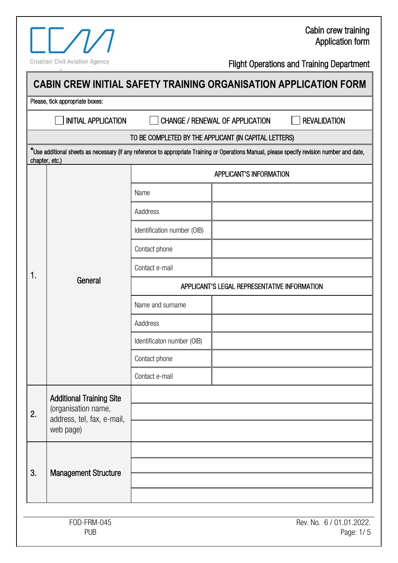#### Cabin crew training Application form

Croatian Civil Aviation Agency

aa

|                                                                |                                                       | <b>CHANGE / RENEWAL OF APPLICATION</b> | <b>REVALIDATION</b>                                                                                                                          |
|----------------------------------------------------------------|-------------------------------------------------------|----------------------------------------|----------------------------------------------------------------------------------------------------------------------------------------------|
|                                                                | TO BE COMPLETED BY THE APPLICANT (IN CAPITAL LETTERS) |                                        |                                                                                                                                              |
| chapter, etc.)                                                 |                                                       |                                        | *Use additional sheets as necessary (if any reference to appropriate Training or Operations Manual, please specify revision number and date, |
|                                                                | <b>APPLICANT'S INFORMATION</b>                        |                                        |                                                                                                                                              |
| General                                                        | Name                                                  |                                        |                                                                                                                                              |
|                                                                | Aaddress                                              |                                        |                                                                                                                                              |
|                                                                | Identification number (OIB)                           |                                        |                                                                                                                                              |
|                                                                | Contact phone                                         |                                        |                                                                                                                                              |
|                                                                | Contact e-mail                                        |                                        |                                                                                                                                              |
|                                                                | APPLICANT'S LEGAL REPRESENTATIVE INFORMATION          |                                        |                                                                                                                                              |
|                                                                | Name and surname                                      |                                        |                                                                                                                                              |
|                                                                | Aaddress                                              |                                        |                                                                                                                                              |
|                                                                | Identificaton number (OIB)                            |                                        |                                                                                                                                              |
|                                                                | Contact phone                                         |                                        |                                                                                                                                              |
|                                                                | Contact e-mail                                        |                                        |                                                                                                                                              |
| <b>Additional Training Site</b>                                |                                                       |                                        |                                                                                                                                              |
| (organisation name,<br>address, tel, fax, e-mail,<br>web page) |                                                       |                                        |                                                                                                                                              |
|                                                                |                                                       |                                        |                                                                                                                                              |
| <b>Management Structure</b>                                    |                                                       |                                        |                                                                                                                                              |
|                                                                |                                                       |                                        |                                                                                                                                              |
|                                                                |                                                       |                                        |                                                                                                                                              |
|                                                                | FOD-FRM-045                                           |                                        |                                                                                                                                              |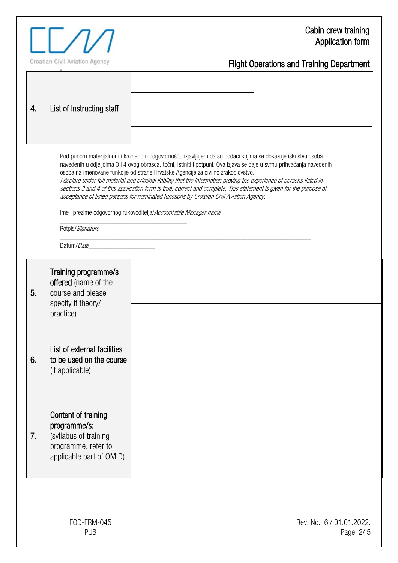### Cabin crew training Application form



| 4. | List of Instructing staff                                                                                                                                                                                                                                                                                                                                                                                                                                                                                                                                                                                                                                                                                                                                  |  |  |  |
|----|------------------------------------------------------------------------------------------------------------------------------------------------------------------------------------------------------------------------------------------------------------------------------------------------------------------------------------------------------------------------------------------------------------------------------------------------------------------------------------------------------------------------------------------------------------------------------------------------------------------------------------------------------------------------------------------------------------------------------------------------------------|--|--|--|
|    | Pod punom materijalnom i kaznenom odgovornošću izjavljujem da su podaci kojima se dokazuje iskustvo osoba<br>navedenih u odjeljcima 3 i 4 ovog obrasca, točni, istiniti i potpuni. Ova izjava se daje u svrhu prihvaćanja navedenih<br>osoba na imenovane funkcije od strane Hrvatske Agencije za civilno zrakoplovstvo.<br>I declare under full material and criminal liability that the information proving the experience of persons listed in<br>sections 3 and 4 of this application form is true, correct and complete. This statement is given for the purpose of<br>acceptance of listed persons for nominated functions by Croatian Civil Aviation Agency.<br>Ime i prezime odgovornog rukovoditelja/Accountable Manager name<br>Potpis/Signature |  |  |  |
|    | Datum/Date                                                                                                                                                                                                                                                                                                                                                                                                                                                                                                                                                                                                                                                                                                                                                 |  |  |  |
| 5. | Training programme/s<br>offered (name of the<br>course and please<br>specify if theory/<br>practice)                                                                                                                                                                                                                                                                                                                                                                                                                                                                                                                                                                                                                                                       |  |  |  |
| 6. | List of external facilities<br>to be used on the course<br>(if applicable)                                                                                                                                                                                                                                                                                                                                                                                                                                                                                                                                                                                                                                                                                 |  |  |  |
| 7. | Content of training<br>programme/s:<br>(syllabus of training<br>programme, refer to<br>applicable part of OM D)                                                                                                                                                                                                                                                                                                                                                                                                                                                                                                                                                                                                                                            |  |  |  |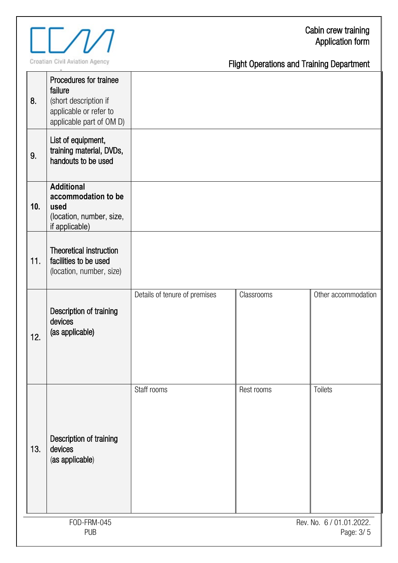

Croatian Civil Aviation Agency

aa

| 8.  | Procedures for trainee<br>failure<br>(short description if<br>applicable or refer to<br>applicable part of OM D) |                               |            |                     |
|-----|------------------------------------------------------------------------------------------------------------------|-------------------------------|------------|---------------------|
| 9.  | List of equipment,<br>training material, DVDs,<br>handouts to be used                                            |                               |            |                     |
| 10. | <b>Additional</b><br>accommodation to be<br>used<br>(location, number, size,<br>if applicable)                   |                               |            |                     |
| 11. | Theoretical instruction<br>facilities to be used<br>(location, number, size)                                     |                               |            |                     |
| 12. | Description of training<br>devices<br>(as applicable)                                                            | Details of tenure of premises | Classrooms | Other accommodation |
| 13. | Description of training<br>devices<br>(as applicable)                                                            | Staff rooms                   | Rest rooms | Toilets             |
|     | FOD-FRM-045<br>Rev. No. 6 / 01.01.2022.<br><b>PUB</b><br>Page: 3/5                                               |                               |            |                     |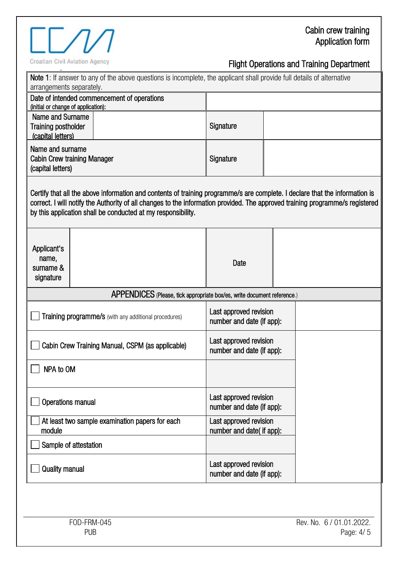# Croatian Civil Aviation Agency

| Note 1: If answer to any of the above questions is incomplete, the applicant shall provide full details of alternative<br>arrangements separately.                                                                                                                                                                           |                                                     |  |  |
|------------------------------------------------------------------------------------------------------------------------------------------------------------------------------------------------------------------------------------------------------------------------------------------------------------------------------|-----------------------------------------------------|--|--|
| Date of intended commencement of operations<br>(initial or change of application):                                                                                                                                                                                                                                           |                                                     |  |  |
| Name and Surname<br><b>Training postholder</b><br>(capital letters)                                                                                                                                                                                                                                                          | Signature                                           |  |  |
| Name and surname<br><b>Cabin Crew training Manager</b><br>(capital letters)                                                                                                                                                                                                                                                  | Signature                                           |  |  |
| Certify that all the above information and contents of training programme/s are complete. I declare that the information is<br>correct. I will notify the Authority of all changes to the information provided. The approved training programme/s registered<br>by this application shall be conducted at my responsibility. |                                                     |  |  |
| Applicant's<br>name,<br>surname &<br>signature                                                                                                                                                                                                                                                                               | Date                                                |  |  |
| APPENDICES (Please, tick appropriate box/es, write document reference.)                                                                                                                                                                                                                                                      |                                                     |  |  |
| <b>Training programme/s</b> (with any additional procedures)                                                                                                                                                                                                                                                                 | Last approved revision<br>number and date (if app): |  |  |
| Cabin Crew Training Manual, CSPM (as applicable)                                                                                                                                                                                                                                                                             | Last approved revision<br>number and date (if app): |  |  |
| $\Box$ NPA to OM                                                                                                                                                                                                                                                                                                             |                                                     |  |  |
| <b>Operations manual</b>                                                                                                                                                                                                                                                                                                     | Last approved revision<br>number and date (if app): |  |  |
| At least two sample examination papers for each<br>module                                                                                                                                                                                                                                                                    | Last approved revision<br>number and date( if app): |  |  |
| Sample of attestation                                                                                                                                                                                                                                                                                                        |                                                     |  |  |
| <b>Quality manual</b>                                                                                                                                                                                                                                                                                                        | Last approved revision<br>number and date (if app): |  |  |